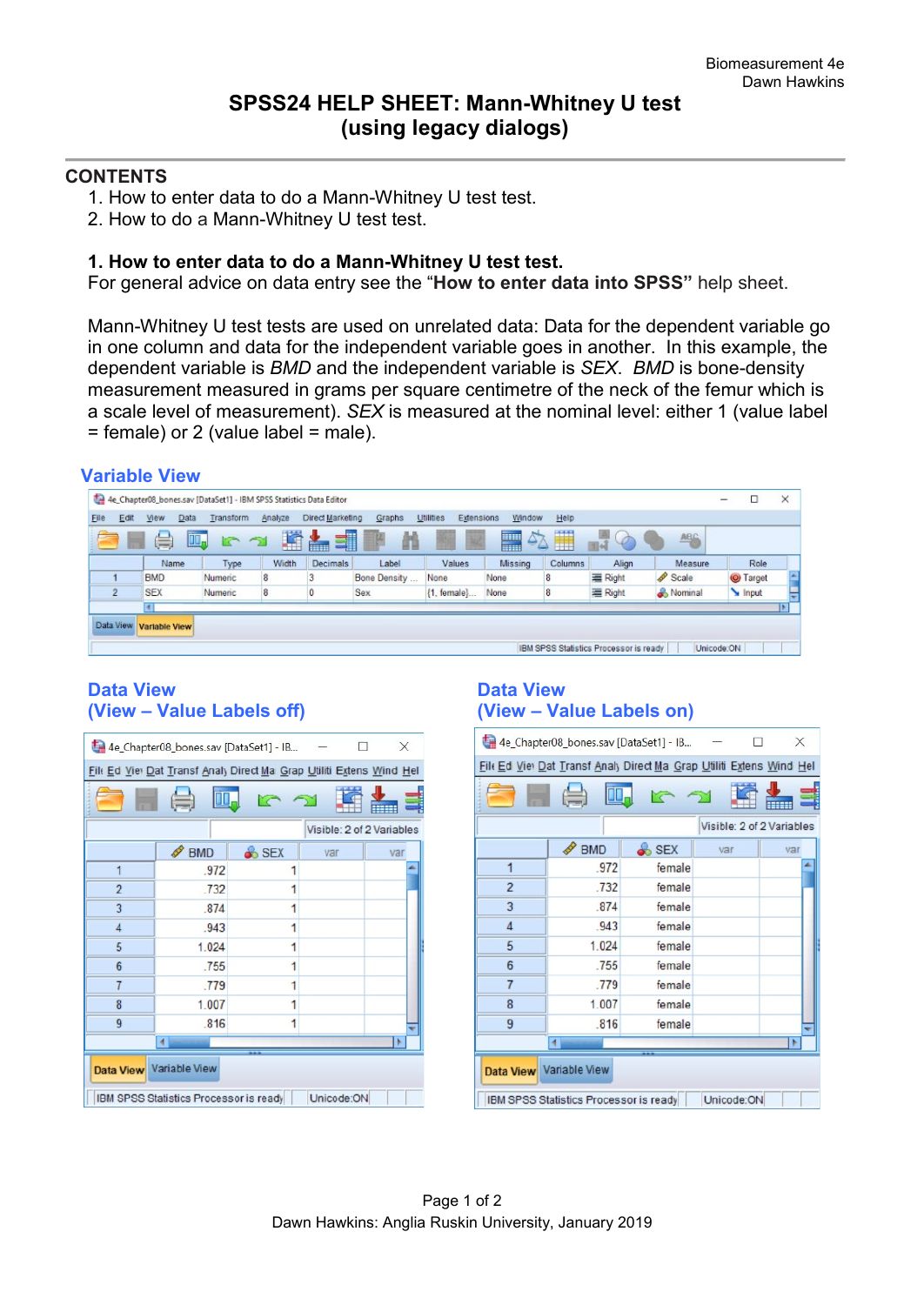### **CONTENTS**

 **Variable View**

- 1. How to enter data to do a Mann-Whitney U test test.
- 2. How to do a Mann-Whitney U test test.

### **1. How to enter data to do a Mann-Whitney U test test.**

For general advice on data entry see the "**How to enter data into SPSS"** help sheet.

Mann-Whitney U test tests are used on unrelated data: Data for the dependent variable go in one column and data for the independent variable goes in another. In this example, the dependent variable is *BMD* and the independent variable is *SEX*. *BMD* is bone-density measurement measured in grams per square centimetre of the neck of the femur which is a scale level of measurement). *SEX* is measured at the nominal level: either 1 (value label  $=$  female) or 2 (value label  $=$  male).

|           |                |                      |         |           |         | 4e Chapter08_bones.sav [DataSet1] - IBM SPSS Statistics Data Editor |              |                         |               |         |                                        |            | -          |               |                        |
|-----------|----------------|----------------------|---------|-----------|---------|---------------------------------------------------------------------|--------------|-------------------------|---------------|---------|----------------------------------------|------------|------------|---------------|------------------------|
| Elle      | Edit           | <b>View</b>          | Data    | Transform | Analyze | Direct Marketing                                                    | Graphs       | Utilities<br>Extensions | Window        | Help    |                                        |            |            |               |                        |
|           |                | 急                    | 吗       |           | 蹖       | 1<br>i.                                                             | m            | 瑊                       | $\Delta$<br>H | H       | è<br>$11 - 1$                          | <b>ABG</b> |            |               |                        |
|           |                | Name                 |         | Type      | Width   | <b>Decimals</b>                                                     | Label        | Values                  | Missing       | Columns | Align                                  | Measure    |            | Role          |                        |
|           |                | <b>BMD</b>           | Numeric |           | 8       |                                                                     | Bone Density | None                    | None          | 8       | Right                                  | Scale      |            | <b>Target</b> | $\left  \cdot \right $ |
|           | $\overline{2}$ | <b>SEX</b>           | Numeric |           | 8       | U                                                                   | Sex          | ${1. female}$           | None          | 8       | = Right                                | Nominal    |            | Input         |                        |
|           |                | ×.                   |         |           |         |                                                                     |              |                         |               |         |                                        |            |            |               |                        |
| Data View |                | <b>Variable View</b> |         |           |         |                                                                     |              |                         |               |         |                                        |            |            |               |                        |
|           |                |                      |         |           |         |                                                                     |              |                         |               |         |                                        |            |            |               |                        |
|           |                |                      |         |           |         |                                                                     |              |                         |               |         | IBM SPSS Statistics Processor is ready |            | Unicode:ON |               |                        |

# **Data View Data View (View – Value Labels off) (View – Value Labels on)**

|                                                                      | 4e_Chapter08_bones.sav [DataSet1] - IB |       |     | X                         |  |  |  |  |
|----------------------------------------------------------------------|----------------------------------------|-------|-----|---------------------------|--|--|--|--|
| File Ed Viel Dat Transf Analy Direct Ma Grap Utiliti Extens Wind Hel |                                        |       |     |                           |  |  |  |  |
|                                                                      |                                        |       |     |                           |  |  |  |  |
|                                                                      |                                        |       |     | Visible: 2 of 2 Variables |  |  |  |  |
|                                                                      | <b>BMD</b><br>I                        | & SEX | var | var                       |  |  |  |  |
| 1                                                                    | .972                                   |       |     |                           |  |  |  |  |
| $\overline{2}$                                                       | .732                                   | 1     |     |                           |  |  |  |  |
| 3                                                                    | .874                                   | 1     |     |                           |  |  |  |  |
| 4                                                                    | .943                                   | 1     |     |                           |  |  |  |  |
| 5                                                                    | 1.024<br>1                             |       |     |                           |  |  |  |  |
| 6                                                                    | .755<br>1                              |       |     |                           |  |  |  |  |
| $\overline{7}$                                                       | .779                                   | 1     |     |                           |  |  |  |  |
| 8                                                                    | 1.007                                  | 1     |     |                           |  |  |  |  |
| 9                                                                    | .816                                   | 1     |     |                           |  |  |  |  |
|                                                                      | $\overline{\mathbf{A}}$                |       |     |                           |  |  |  |  |
| Data View Variable View                                              |                                        |       |     |                           |  |  |  |  |
| Unicode:ON<br>IBM SPSS Statistics Processor is ready                 |                                        |       |     |                           |  |  |  |  |

| 4e_Chapter08_bones.sav [DataSet1] - IB<br>×                          |                      |                  |                           |     |  |  |  |  |
|----------------------------------------------------------------------|----------------------|------------------|---------------------------|-----|--|--|--|--|
| File Ed Viel Dat Transf Analy Direct Ma Grap Utiliti Extens Wind Hel |                      |                  |                           |     |  |  |  |  |
|                                                                      |                      |                  |                           |     |  |  |  |  |
|                                                                      | $\equiv$             |                  |                           |     |  |  |  |  |
|                                                                      |                      |                  | Visible: 2 of 2 Variables |     |  |  |  |  |
|                                                                      | <b>BMD</b>           | <b>&amp; SEX</b> | var                       | var |  |  |  |  |
| 1                                                                    | .972                 | female           |                           |     |  |  |  |  |
| $\overline{2}$                                                       | .732                 | female           |                           |     |  |  |  |  |
| 3                                                                    | 874                  | female           |                           |     |  |  |  |  |
| 4                                                                    | .943                 | female           |                           |     |  |  |  |  |
| 5                                                                    | 1.024                | female           |                           |     |  |  |  |  |
| 6                                                                    | .755                 | female           |                           |     |  |  |  |  |
| $\overline{7}$                                                       | .779                 | female           |                           |     |  |  |  |  |
| 8                                                                    | 1.007                | female           |                           |     |  |  |  |  |
| 9                                                                    | .816                 | female           |                           |     |  |  |  |  |
|                                                                      | $\blacktriangleleft$ |                  |                           |     |  |  |  |  |
| Data View Variable View                                              |                      |                  |                           |     |  |  |  |  |
| Unicode:ON<br>IBM SPSS Statistics Processor is ready                 |                      |                  |                           |     |  |  |  |  |